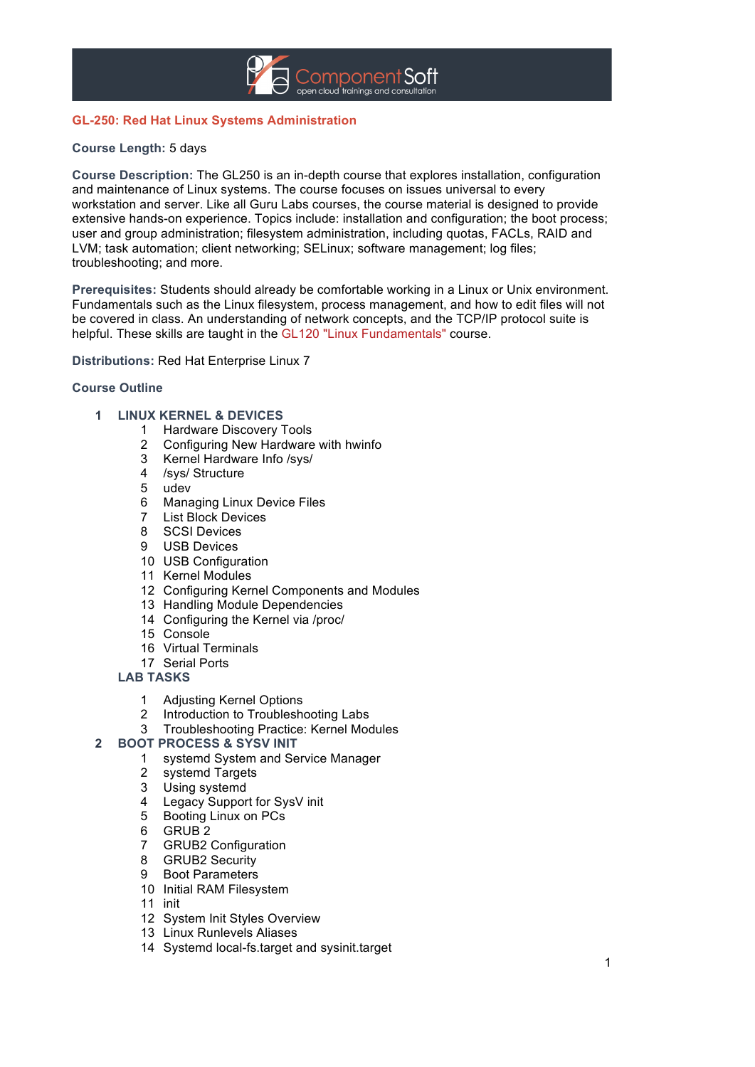

# **GL-250: Red Hat Linux Systems Administration**

## **Course Length:** 5 days

**Course Description:** The GL250 is an in-depth course that explores installation, configuration and maintenance of Linux systems. The course focuses on issues universal to every workstation and server. Like all Guru Labs courses, the course material is designed to provide extensive hands-on experience. Topics include: installation and configuration; the boot process; user and group administration; filesystem administration, including quotas, FACLs, RAID and LVM; task automation; client networking; SELinux; software management; log files; troubleshooting; and more.

**Prerequisites:** Students should already be comfortable working in a Linux or Unix environment. Fundamentals such as the Linux filesystem, process management, and how to edit files will not be covered in class. An understanding of network concepts, and the TCP/IP protocol suite is helpful. These skills are taught in the GL120 "Linux Fundamentals" course.

**Distributions:** Red Hat Enterprise Linux 7

## **Course Outline**

#### **LINUX KERNEL & DEVICES**

- Hardware Discovery Tools
- Configuring New Hardware with hwinfo
- Kernel Hardware Info /sys/
- /sys/ Structure
- udev
- Managing Linux Device Files
- List Block Devices
- SCSI Devices
- USB Devices
- USB Configuration
- Kernel Modules
- Configuring Kernel Components and Modules
- Handling Module Dependencies
- Configuring the Kernel via /proc/
- Console
- Virtual Terminals
- Serial Ports

#### **LAB TASKS**

- Adjusting Kernel Options
- Introduction to Troubleshooting Labs
- Troubleshooting Practice: Kernel Modules

## **BOOT PROCESS & SYSV INIT**

- systemd System and Service Manager
- systemd Targets
- Using systemd
- 4 Legacy Support for SysV init<br>5 Booting Linux on PCs
- Booting Linux on PCs
- GRUB 2
- 7 GRUB2 Configuration<br>8 GRUB2 Security
- **GRUB2 Security**
- Boot Parameters
- Initial RAM Filesystem
- init
- System Init Styles Overview
- Linux Runlevels Aliases
- Systemd local-fs.target and sysinit.target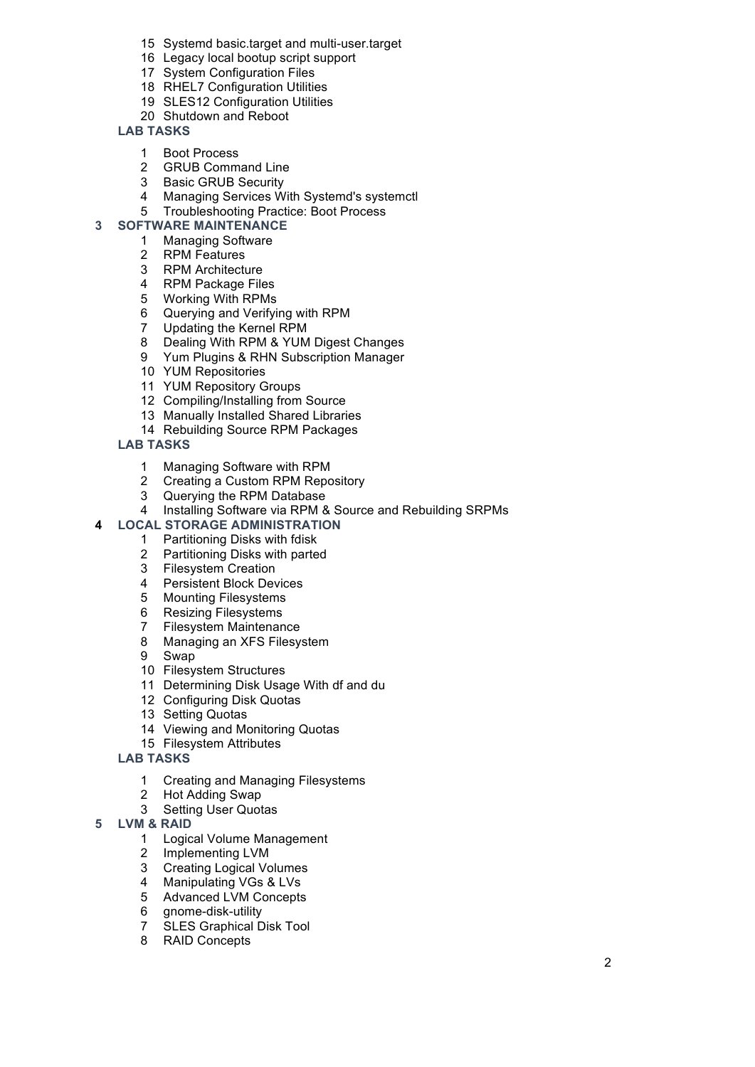- Systemd basic.target and multi-user.target
- Legacy local bootup script support
- System Configuration Files
- RHEL7 Configuration Utilities
- SLES12 Configuration Utilities
- Shutdown and Reboot

## **LAB TASKS**

- Boot Process
- GRUB Command Line
- Basic GRUB Security
- Managing Services With Systemd's systemctl
- Troubleshooting Practice: Boot Process

## **SOFTWARE MAINTENANCE**

- Managing Software
- RPM Features
- RPM Architecture
- RPM Package Files
- Working With RPMs
- Querying and Verifying with RPM
- 7 Updating the Kernel RPM<br>8 Dealing With RPM & YUM
- 8 Dealing With RPM & YUM Digest Changes<br>9 Yum Plugins & RHN Subscription Manager
- Yum Plugins & RHN Subscription Manager
- YUM Repositories
- YUM Repository Groups
- Compiling/Installing from Source
- Manually Installed Shared Libraries
- Rebuilding Source RPM Packages
- **LAB TASKS**
	- Managing Software with RPM
	- Creating a Custom RPM Repository
	- Querying the RPM Database
	- Installing Software via RPM & Source and Rebuilding SRPMs

## **LOCAL STORAGE ADMINISTRATION**

- Partitioning Disks with fdisk
- Partitioning Disks with parted
- Filesystem Creation
- Persistent Block Devices
- Mounting Filesystems
- Resizing Filesystems
- Filesystem Maintenance
- Managing an XFS Filesystem
- Swap
- Filesystem Structures
- Determining Disk Usage With df and du
- Configuring Disk Quotas
- Setting Quotas
- Viewing and Monitoring Quotas
- Filesystem Attributes

## **LAB TASKS**

- Creating and Managing Filesystems
- Hot Adding Swap
- Setting User Quotas
- **LVM & RAID**
	- Logical Volume Management
	- Implementing LVM
	- 3 Creating Logical Volumes<br>4 Manipulating VGs & LVs
	- Manipulating VGs & LVs
	- 5 Advanced LVM Concepts<br>6 anome-disk-utility
	- gnome-disk-utility
	- SLES Graphical Disk Tool
	- RAID Concepts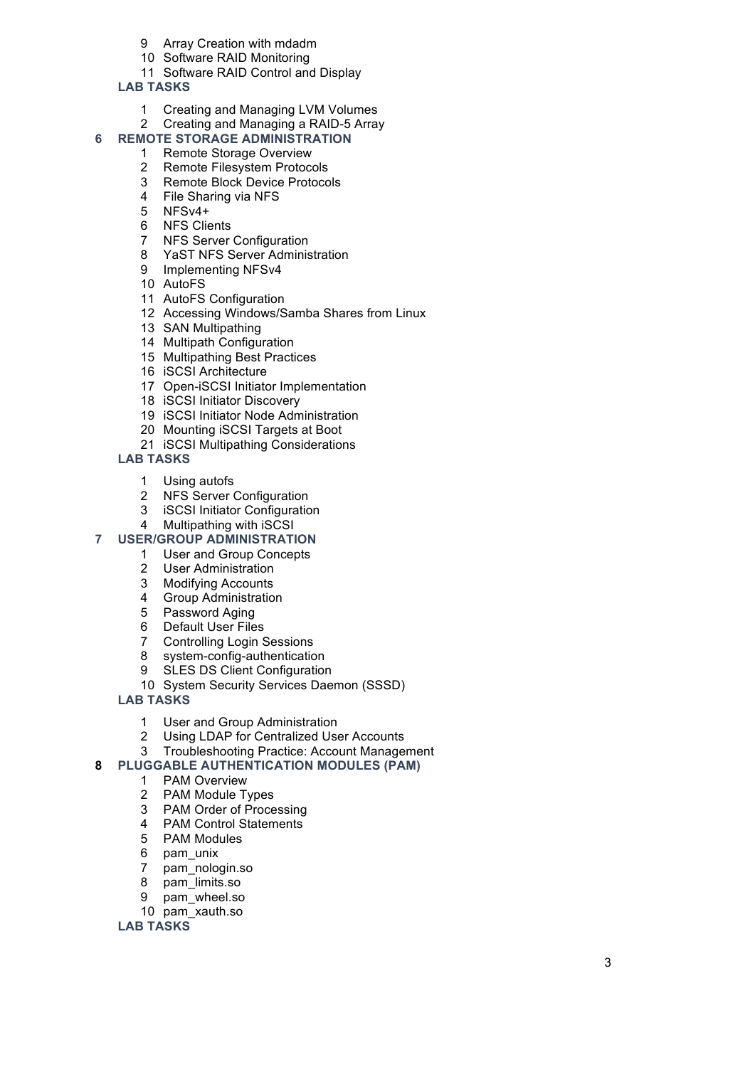- Array Creation with mdadm
- Software RAID Monitoring
- Software RAID Control and Display
- **LAB TASKS**
	- Creating and Managing LVM Volumes
	- Creating and Managing a RAID-5 Array

# **REMOTE STORAGE ADMINISTRATION**

- Remote Storage Overview
- Remote Filesystem Protocols
- Remote Block Device Protocols
- File Sharing via NFS
- NFSv4+
- 6 NFS Clients<br>7 NFS Server
- **NFS Server Configuration**
- YaST NFS Server Administration
- Implementing NFSv4
- AutoFS
- AutoFS Configuration
- Accessing Windows/Samba Shares from Linux
- SAN Multipathing
- Multipath Configuration
- Multipathing Best Practices
- iSCSI Architecture
- Open -iSCSI Initiator Implementation
- iSCSI Initiator Discovery
- iSCSI Initiator Node Administration
- Mounting iSCSI Targets at Boot
- iSCSI Multipathing Considerations

# **LAB TASKS**

- Using autofs
- NFS Server Configuration
- iSCSI Initiator Configuration
- Multipathing with iSCSI
- **USER/GROUP ADMINISTRATION**
	- User and Group Concepts
	- User Administration
	- Modifying Accounts
	- Group Administration
	- Password Aging
	- Default User Files
	- Controlling Login Sessions
	- system-config-authentication
	- SLES DS Client Configuration
	- System Security Services Daemon (SSSD)

## **LAB TASKS**

- User and Group Administration
- Using LDAP for Centralized User Accounts
- Troubleshooting Practice: Account Management

# **PLUGGABLE AUTHENTICATION MODULES (PAM)**

- PAM Overview
- PAM Module Types
- 
- 3 PAM Order of Processing<br>4 PAM Control Statements PAM Control Statements
- PAM Modules
- pam\_unix
- pam\_nologin.so
- pam\_limits.so
- pam\_wheel.so
- pam\_xauth.so

## **LAB TASKS**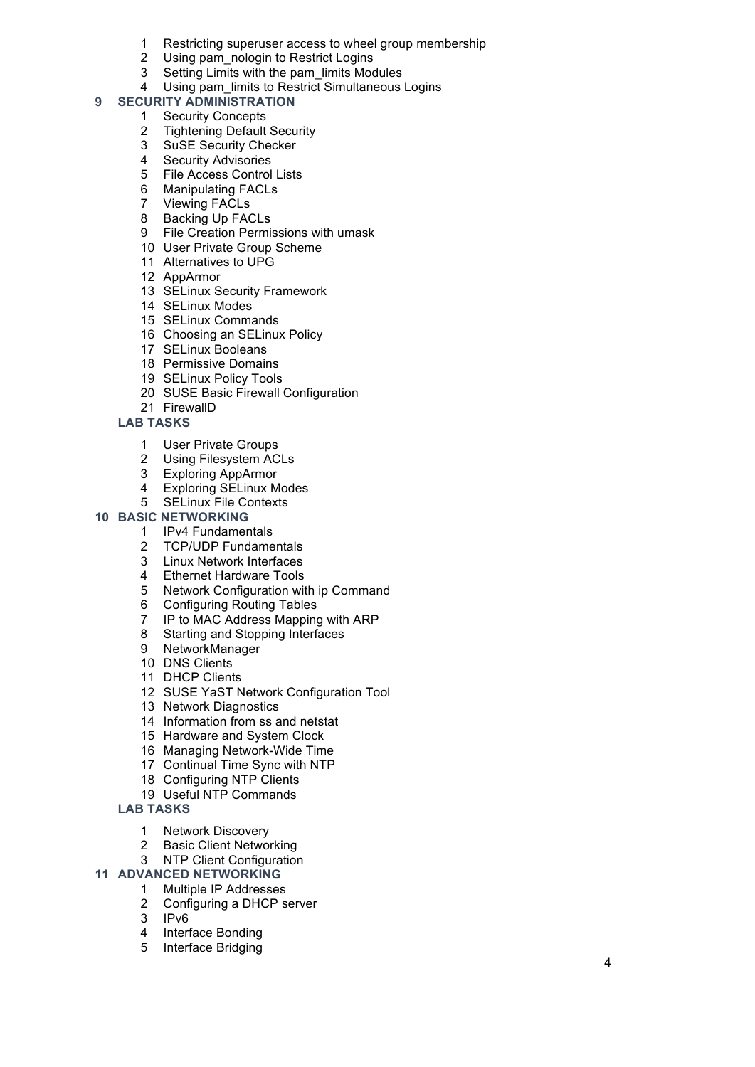- Restricting superuser access to wheel group membership
- Using pam\_nologin to Restrict Logins
- Setting Limits with the pam\_limits Modules
- 4 Using pam limits to Restrict Simultaneous Logins

### **SECURITY ADMINISTRATION**

- Security Concepts
- Tightening Default Security
- SuSE Security Checker
- Security Advisories
- File Access Control Lists
- Manipulating FACLs
- Viewing FACLs
- Backing Up FACLs
- File Creation Permissions with umask
- User Private Group Scheme
- Alternatives to UPG
- AppArmor
- SELinux Security Framework
- SELinux Modes
- SELinux Commands
- Choosing an SELinux Policy
- SELinux Booleans
- Permissive Domains
- SELinux Policy Tools
- SUSE Basic Firewall Configuration
- FirewallD

## **LAB TASKS**

- User Private Groups
- Using Filesystem ACLs
- Exploring AppArmor
- Exploring SELinux Modes
- SELinux File Contexts

# **BASIC NETWORKING**

- IPv4 Fundamentals
- TCP/UDP Fundamentals
- Linux Network Interfaces
- 
- 4 Ethernet Hardware Tools<br>5 Network Configuration with Network Configuration with ip Command
- Configuring Routing Tables
- IP to MAC Address Mapping with ARP
- Starting and Stopping Interfaces
- NetworkManager
- DNS Clients
- DHCP Clients
- SUSE YaST Network Configuration Tool
- Network Diagnostics
- Information from ss and netstat
- Hardware and System Clock
- Managing Network-Wide Time
- Continual Time Sync with NTP
- Configuring NTP Clients
- Useful NTP Commands

#### **LAB TASKS**

- Network Discovery
- Basic Client Networking
- NTP Client Configuration

## **ADVANCED NETWORKING**

- Multiple IP Addresses
- Configuring a DHCP server
- IPv6
- Interface Bonding
- Interface Bridging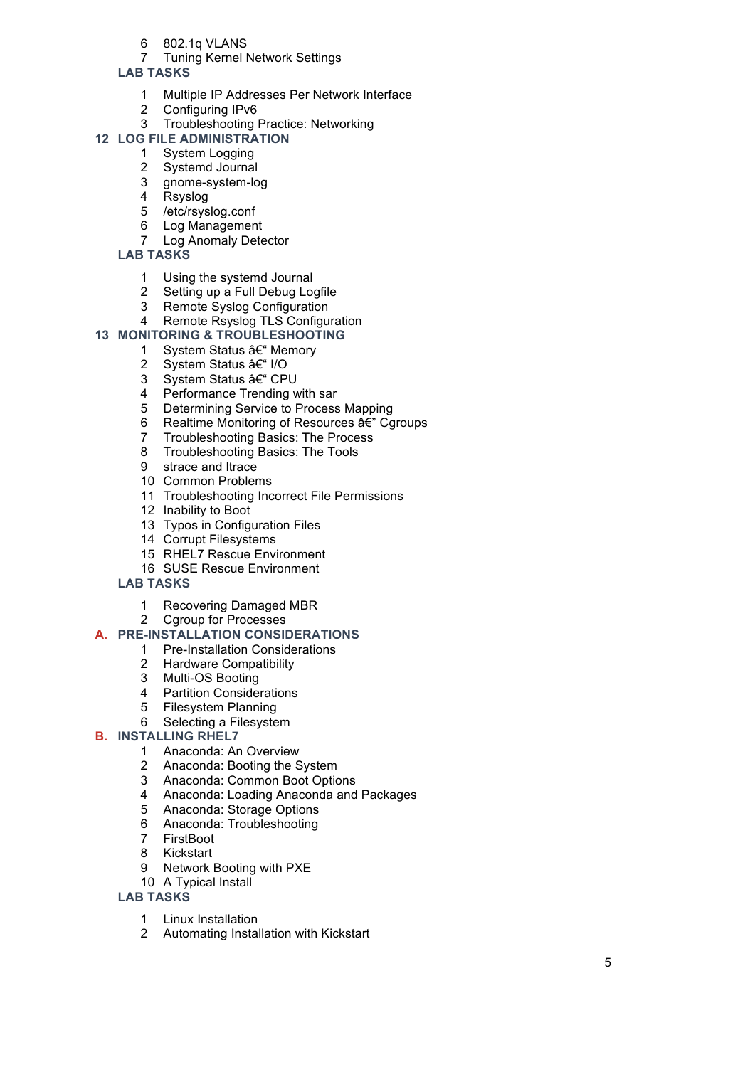- 802.1q VLANS
- Tuning Kernel Network Settings

## **LAB TASKS**

- Multiple IP Addresses Per Network Interface
- Configuring IPv6
- Troubleshooting Practice: Networking

# **LOG FILE ADMINISTRATION**

- System Logging
- Systemd Journal
- gnome-system-log
- Rsyslog
- /etc/rsyslog.conf
- Log Management
- Log Anomaly Detector

# **LAB TASKS**

- 1 Using the systemd Journal<br>2 Setting up a Full Debug Lo
- 2 Setting up a Full Debug Logfile<br>3 Remote Syslog Configuration
- Remote Syslog Configuration
- Remote Rsyslog TLS Configuration

## **MONITORING & TROUBLESHOOTING**

- 1 System Status †Memory
- 2 System Status I/O
- 3 System Status †CPU
- Performance Trending with sar
- Determining Service to Process Mapping
- 6 Realtime Monitoring of Resources  $\hat{a} \in \mathbb{C}^n$  Cgroups
- Troubleshooting Basics: The Process
- Troubleshooting Basics: The Tools
- strace and ltrace
- Common Problems
- Troubleshooting Incorrect File Permissions
- Inability to Boot
- Typos in Configuration Files
- Corrupt Filesystems
- RHEL7 Rescue Environment
- SUSE Rescue Environment

# **LAB TASKS**

- Recovering Damaged MBR
- Cgroup for Processes

## **A. PRE -INSTALLATION CONSIDERATIONS**

- Pre-Installation Considerations
- Hardware Compatibility
- Multi-OS Booting
- Partition Considerations
- Filesystem Planning
- Selecting a Filesystem
- **B. INSTALLING RHEL 7**
	- Anaconda: An Overview
	- Anaconda: Booting the System
	- Anaconda: Common Boot Options
	- Anaconda: Loading Anaconda and Packages
	- Anaconda: Storage Options
	- Anaconda: Troubleshooting
	- FirstBoot
	- Kickstart
	- Network Booting with PXE
	- A Typical Install
	- **LAB TASKS**
		- Linux Installation
		- Automating Installation with Kickstart